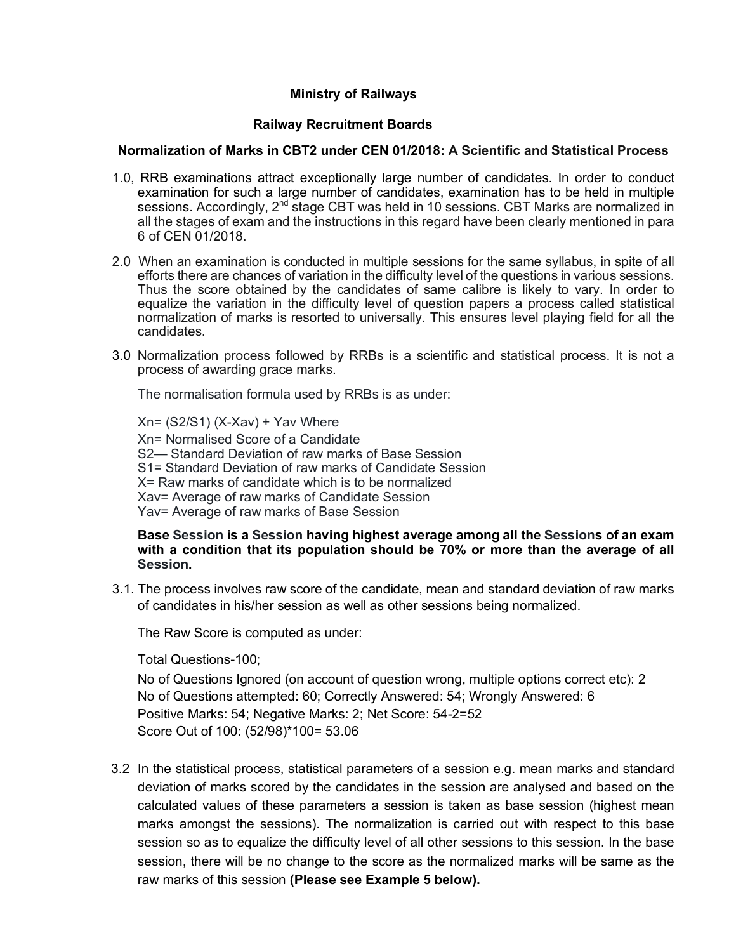# **Ministry of Railways**

## **Railway Recruitment Boards**

### **Normalization of Marks in CBT2 under CEN 01/2018: A Scientific and Statistical Process**

- 1.0, RRB examinations attract exceptionally large number of candidates. In order to conduct examination for such a large number of candidates, examination has to be held in multiple sessions. Accordingly, 2<sup>nd</sup> stage CBT was held in 10 sessions. CBT Marks are normalized in all the stages of exam and the instructions in this regard have been clearly mentioned in para 6 of CEN 01/2018.
- 2.0 When an examination is conducted in multiple sessions for the same syllabus, in spite of all efforts there are chances of variation in the difficulty level of the questions in various sessions. Thus the score obtained by the candidates of same calibre is likely to vary. In order to equalize the variation in the difficulty level of question papers a process called statistical normalization of marks is resorted to universally. This ensures level playing field for all the candidates.
- 3.0 Normalization process followed by RRBs is a scientific and statistical process. It is not a process of awarding grace marks.

The normalisation formula used by RRBs is as under:

 $Xn = (S2/S1) (X-Xav) + Yav$  Where Xn= Normalised Score of a Candidate S2— Standard Deviation of raw marks of Base Session S1= Standard Deviation of raw marks of Candidate Session X= Raw marks of candidate which is to be normalized Xav= Average of raw marks of Candidate Session Yav= Average of raw marks of Base Session

#### **Base Session is a Session having highest average among all the Sessions of an exam with a condition that its population should be 70% or more than the average of all Session.**

3.1. The process involves raw score of the candidate, mean and standard deviation of raw marks of candidates in his/her session as well as other sessions being normalized.

The Raw Score is computed as under:

Total Questions-100;

No of Questions Ignored (on account of question wrong, multiple options correct etc): 2 No of Questions attempted: 60; Correctly Answered: 54; Wrongly Answered: 6 Positive Marks: 54; Negative Marks: 2; Net Score: 54-2=52 Score Out of 100: (52/98)\*100= 53.06

3.2 In the statistical process, statistical parameters of a session e.g. mean marks and standard deviation of marks scored by the candidates in the session are analysed and based on the calculated values of these parameters a session is taken as base session (highest mean marks amongst the sessions). The normalization is carried out with respect to this base session so as to equalize the difficulty level of all other sessions to this session. In the base session, there will be no change to the score as the normalized marks will be same as the raw marks of this session **(Please see Example 5 below).**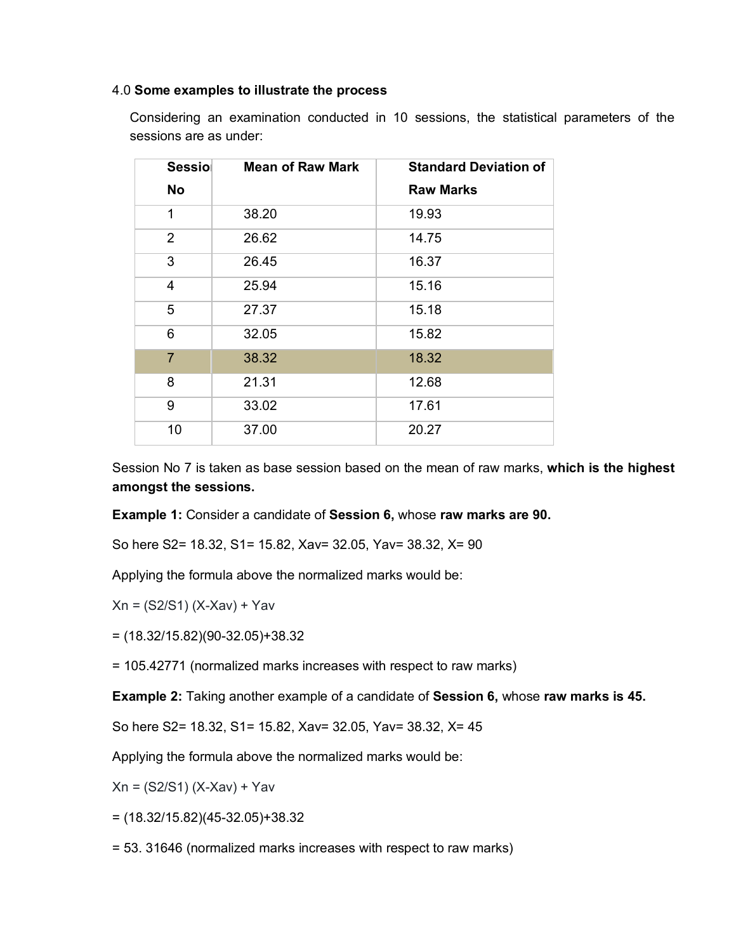#### 4.0 **Some examples to illustrate the process**

Considering an examination conducted in 10 sessions, the statistical parameters of the sessions are as under:

| <b>Sessio</b>  | <b>Mean of Raw Mark</b> | <b>Standard Deviation of</b> |
|----------------|-------------------------|------------------------------|
| No             |                         | <b>Raw Marks</b>             |
| 1              | 38.20                   | 19.93                        |
| $\overline{2}$ | 26.62                   | 14.75                        |
| 3              | 26.45                   | 16.37                        |
| 4              | 25.94                   | 15.16                        |
| 5              | 27.37                   | 15.18                        |
| 6              | 32.05                   | 15.82                        |
| $\overline{7}$ | 38.32                   | 18.32                        |
| 8              | 21.31                   | 12.68                        |
| 9              | 33.02                   | 17.61                        |
| 10             | 37.00                   | 20.27                        |

Session No 7 is taken as base session based on the mean of raw marks, **which is the highest amongst the sessions.**

#### **Example 1:** Consider a candidate of **Session 6,** whose **raw marks are 90.**

So here S2= 18.32, S1= 15.82, Xav= 32.05, Yav= 38.32, X= 90

Applying the formula above the normalized marks would be:

$$
Xn = (S2/S1) (X-Xav) + Yav
$$

= (18.32/15.82)(90-32.05)+38.32

= 105.42771 (normalized marks increases with respect to raw marks)

**Example 2:** Taking another example of a candidate of **Session 6,** whose **raw marks is 45.**

So here S2= 18.32, S1= 15.82, Xav= 32.05, Yav= 38.32, X= 45

Applying the formula above the normalized marks would be:

Xn = (S2/S1) (X-Xav) + Yav

= (18.32/15.82)(45-32.05)+38.32

= 53. 31646 (normalized marks increases with respect to raw marks)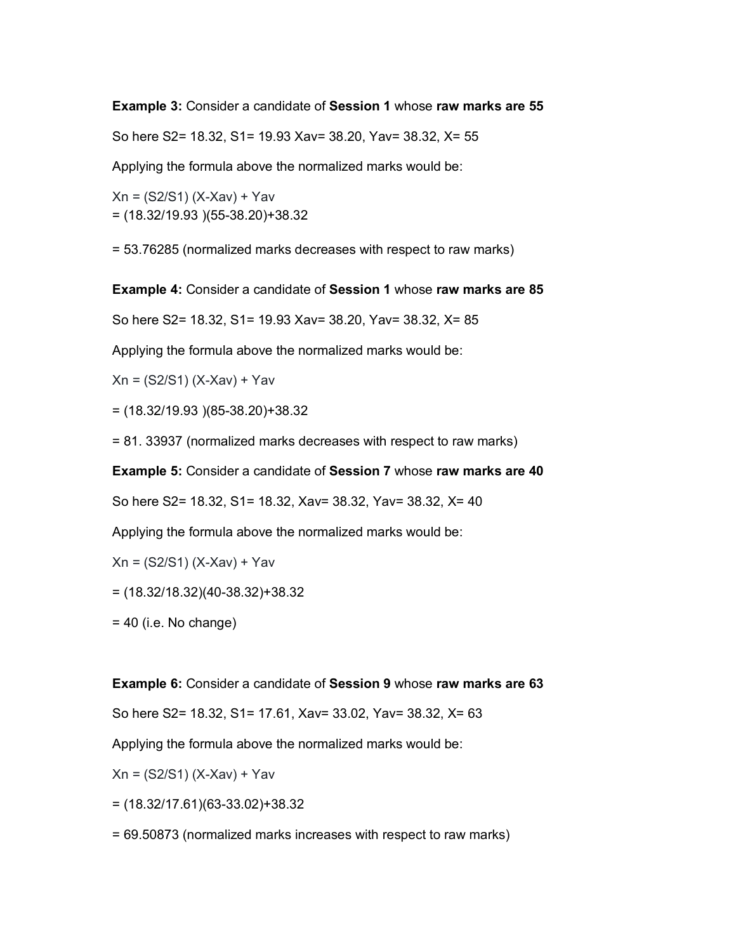**Example 3:** Consider a candidate of **Session 1** whose **raw marks are 55**

So here S2= 18.32, S1= 19.93 Xav= 38.20, Yav= 38.32, X= 55

Applying the formula above the normalized marks would be:

Xn = (S2/S1) (X-Xav) + Yav = (18.32/19.93 )(55-38.20)+38.32

= 53.76285 (normalized marks decreases with respect to raw marks)

**Example 4:** Consider a candidate of **Session 1** whose **raw marks are 85**

So here S2= 18.32, S1= 19.93 Xav= 38.20, Yav= 38.32, X= 85

Applying the formula above the normalized marks would be:

Xn = (S2/S1) (X-Xav) + Yav

= (18.32/19.93 )(85-38.20)+38.32

= 81. 33937 (normalized marks decreases with respect to raw marks)

**Example 5:** Consider a candidate of **Session 7** whose **raw marks are 40**

So here S2= 18.32, S1= 18.32, Xav= 38.32, Yav= 38.32, X= 40

Applying the formula above the normalized marks would be:

Xn = (S2/S1) (X-Xav) + Yav

= (18.32/18.32)(40-38.32)+38.32

 $= 40$  (i.e. No change)

**Example 6:** Consider a candidate of **Session 9** whose **raw marks are 63**

So here S2= 18.32, S1= 17.61, Xav= 33.02, Yav= 38.32, X= 63

Applying the formula above the normalized marks would be:

Xn = (S2/S1) (X-Xav) + Yav

= (18.32/17.61)(63-33.02)+38.32

= 69.50873 (normalized marks increases with respect to raw marks)